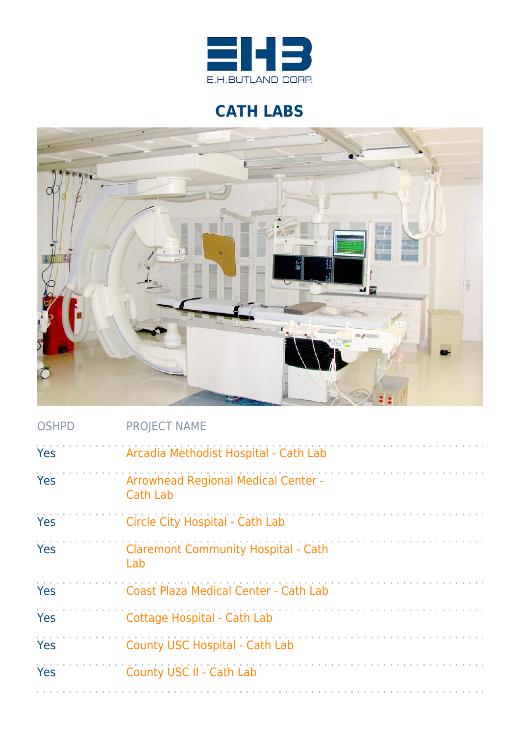

## **CATH LABS**



| <b>OSHPD</b> | <b>PROJECT NAME</b>                                           |
|--------------|---------------------------------------------------------------|
| Yes          | Arcadia Methodist Hospital - Cath Lab                         |
| Yes          | <b>Arrowhead Regional Medical Center -</b><br><b>Cath Lab</b> |
| Yes          | Circle City Hospital - Cath Lab                               |
| Yes          | <b>Claremont Community Hospital - Cath</b><br>Lab             |
| Yes          | <b>Coast Plaza Medical Center - Cath Lab</b>                  |
| <b>Yes</b>   | <b>Cottage Hospital - Cath Lab</b>                            |
| Yes          | <b>County USC Hospital - Cath Lab</b>                         |
| Yes          | County USC II - Cath Lab                                      |
|              |                                                               |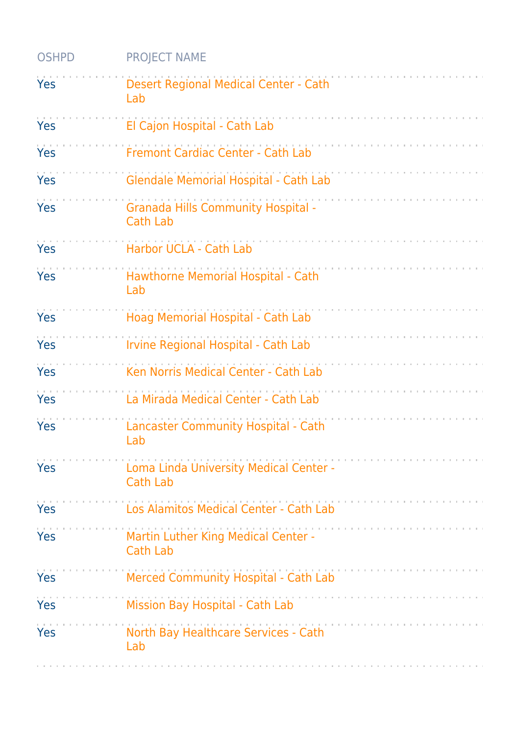| <b>OSHPD</b> | <b>PROJECT NAME</b>                                          |
|--------------|--------------------------------------------------------------|
| Yes          | Desert Regional Medical Center - Cath<br>Lab                 |
| <b>Yes</b>   | El Cajon Hospital - Cath Lab                                 |
| Yes          | Fremont Cardiac Center - Cath Lab                            |
| Yes          | <b>Glendale Memorial Hospital - Cath Lab</b>                 |
| Yes          | <b>Granada Hills Community Hospital -</b><br><b>Cath Lab</b> |
| Yes          | Harbor UCLA - Cath Lab                                       |
| Yes          | Hawthorne Memorial Hospital - Cath<br>Lab                    |
| Yes          | Hoag Memorial Hospital - Cath Lab                            |
| Yes          | Irvine Regional Hospital - Cath Lab                          |
| Yes          | Ken Norris Medical Center - Cath Lab                         |
| Yes          | La Mirada Medical Center - Cath Lab                          |
| Yes          | Lancaster Community Hospital - Cath<br>Lab                   |
| Yes          | Loma Linda University Medical Center -<br><b>Cath Lab</b>    |
| Yes          | Los Alamitos Medical Center - Cath Lab                       |
| Yes          | Martin Luther King Medical Center -<br><b>Cath Lab</b>       |
| Yes          | Merced Community Hospital - Cath Lab                         |
| Yes          | Mission Bay Hospital - Cath Lab                              |
| Yes          | North Bay Healthcare Services - Cath<br>Lab                  |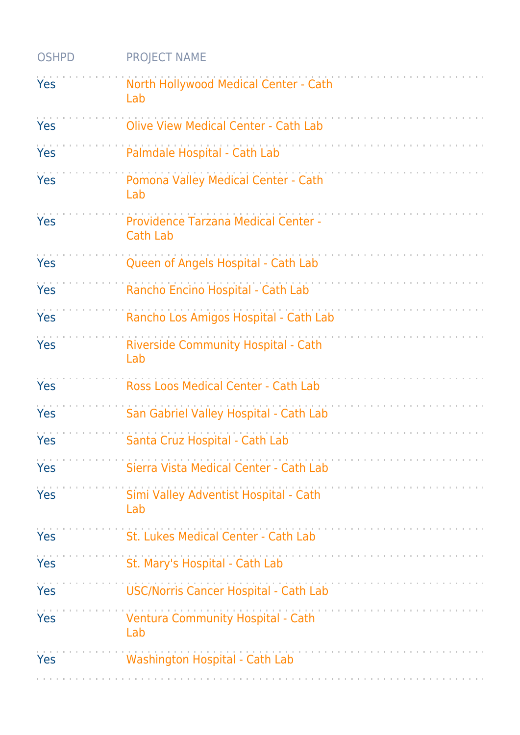| <b>OSHPD</b> | <b>PROJECT NAME</b>                                    |
|--------------|--------------------------------------------------------|
| Yes          | North Hollywood Medical Center - Cath<br>Lab           |
| Yes          | <b>Olive View Medical Center - Cath Lab</b>            |
| Yes          | Palmdale Hospital - Cath Lab                           |
| Yes          | Pomona Valley Medical Center - Cath<br>Lab             |
| Yes          | Providence Tarzana Medical Center -<br><b>Cath Lab</b> |
| Yes          | Queen of Angels Hospital - Cath Lab                    |
| Yes          | Rancho Encino Hospital - Cath Lab                      |
| Yes          | Rancho Los Amigos Hospital - Cath Lab                  |
| Yes          | Riverside Community Hospital - Cath<br>Lab             |
| Yes          | Ross Loos Medical Center - Cath Lab                    |
| Yes          | San Gabriel Valley Hospital - Cath Lab                 |
| Yes          | Santa Cruz Hospital - Cath Lab                         |
| Yes          | Sierra Vista Medical Center - Cath Lab                 |
| Yes          | Simi Valley Adventist Hospital - Cath<br>Lab           |
| Yes          | St. Lukes Medical Center - Cath Lab                    |
| <b>Yes</b>   | St. Mary's Hospital - Cath Lab                         |
| Yes          | <b>USC/Norris Cancer Hospital - Cath Lab</b>           |
| <b>Yes</b>   | <b>Ventura Community Hospital - Cath</b><br>Lab        |
| Yes          | <b>Washington Hospital - Cath Lab</b>                  |
|              |                                                        |